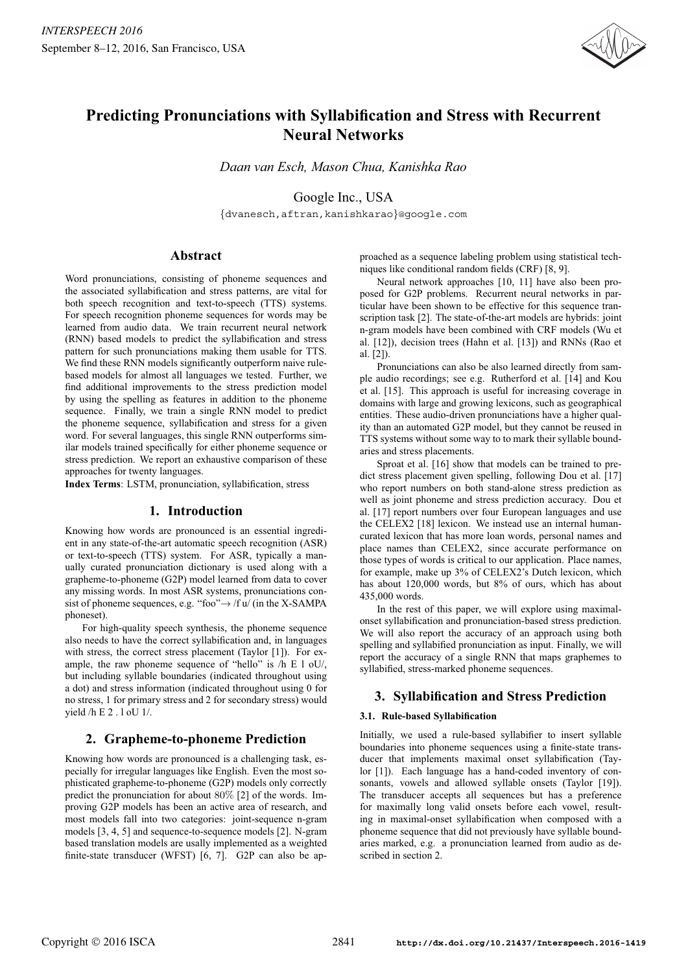

# **Predicting Pronunciations with Syllabification and Stress with Recurrent Neural Networks**

*Daan van Esch, Mason Chua, Kanishka Rao*

Google Inc., USA

{dvanesch,aftran,kanishkarao}@google.com

# **Abstract**

Word pronunciations, consisting of phoneme sequences and the associated syllabification and stress patterns, are vital for both speech recognition and text-to-speech (TTS) systems. For speech recognition phoneme sequences for words may be learned from audio data. We train recurrent neural network (RNN) based models to predict the syllabification and stress pattern for such pronunciations making them usable for TTS. We find these RNN models significantly outperform naive rulebased models for almost all languages we tested. Further, we find additional improvements to the stress prediction model by using the spelling as features in addition to the phoneme sequence. Finally, we train a single RNN model to predict the phoneme sequence, syllabification and stress for a given word. For several languages, this single RNN outperforms similar models trained specifically for either phoneme sequence or stress prediction. We report an exhaustive comparison of these approaches for twenty languages.

**Index Terms**: LSTM, pronunciation, syllabification, stress

# **1. Introduction**

Knowing how words are pronounced is an essential ingredient in any state-of-the-art automatic speech recognition (ASR) or text-to-speech (TTS) system. For ASR, typically a manually curated pronunciation dictionary is used along with a grapheme-to-phoneme (G2P) model learned from data to cover any missing words. In most ASR systems, pronunciations consist of phoneme sequences, e.g. "foo" $\rightarrow$  /f u/ (in the X-SAMPA phoneset).

For high-quality speech synthesis, the phoneme sequence also needs to have the correct syllabification and, in languages with stress, the correct stress placement (Taylor [1]). For example, the raw phoneme sequence of "hello" is  $/h \to 1$  oU/, but including syllable boundaries (indicated throughout using a dot) and stress information (indicated throughout using 0 for no stress, 1 for primary stress and 2 for secondary stress) would yield /h E 2 . l oU 1/.

# **2. Grapheme-to-phoneme Prediction**

Knowing how words are pronounced is a challenging task, especially for irregular languages like English. Even the most sophisticated grapheme-to-phoneme (G2P) models only correctly predict the pronunciation for about 80% [2] of the words. Improving G2P models has been an active area of research, and most models fall into two categories: joint-sequence n-gram models [3, 4, 5] and sequence-to-sequence models [2]. N-gram based translation models are usally implemented as a weighted finite-state transducer (WFST) [6, 7]. G2P can also be approached as a sequence labeling problem using statistical techniques like conditional random fields (CRF) [8, 9].

Neural network approaches [10, 11] have also been proposed for G2P problems. Recurrent neural networks in particular have been shown to be effective for this sequence transcription task [2]. The state-of-the-art models are hybrids: joint n-gram models have been combined with CRF models (Wu et al. [12]), decision trees (Hahn et al. [13]) and RNNs (Rao et al. [2]).

Pronunciations can also be also learned directly from sample audio recordings; see e.g. Rutherford et al. [14] and Kou et al. [15]. This approach is useful for increasing coverage in domains with large and growing lexicons, such as geographical entities. These audio-driven pronunciations have a higher quality than an automated G2P model, but they cannot be reused in TTS systems without some way to to mark their syllable boundaries and stress placements.

Sproat et al. [16] show that models can be trained to predict stress placement given spelling, following Dou et al. [17] who report numbers on both stand-alone stress prediction as well as joint phoneme and stress prediction accuracy. Dou et al. [17] report numbers over four European languages and use the CELEX2 [18] lexicon. We instead use an internal humancurated lexicon that has more loan words, personal names and place names than CELEX2, since accurate performance on those types of words is critical to our application. Place names, for example, make up 3% of CELEX2's Dutch lexicon, which has about 120,000 words, but 8% of ours, which has about 435,000 words.

In the rest of this paper, we will explore using maximalonset syllabification and pronunciation-based stress prediction. We will also report the accuracy of an approach using both spelling and syllabified pronunciation as input. Finally, we will report the accuracy of a single RNN that maps graphemes to syllabified, stress-marked phoneme sequences.

# **3. Syllabification and Stress Prediction**

# **3.1. Rule-based Syllabification**

Initially, we used a rule-based syllabifier to insert syllable boundaries into phoneme sequences using a finite-state transducer that implements maximal onset syllabification (Taylor [1]). Each language has a hand-coded inventory of consonants, vowels and allowed syllable onsets (Taylor [19]). The transducer accepts all sequences but has a preference for maximally long valid onsets before each vowel, resulting in maximal-onset syllabification when composed with a phoneme sequence that did not previously have syllable boundaries marked, e.g. a pronunciation learned from audio as described in section 2.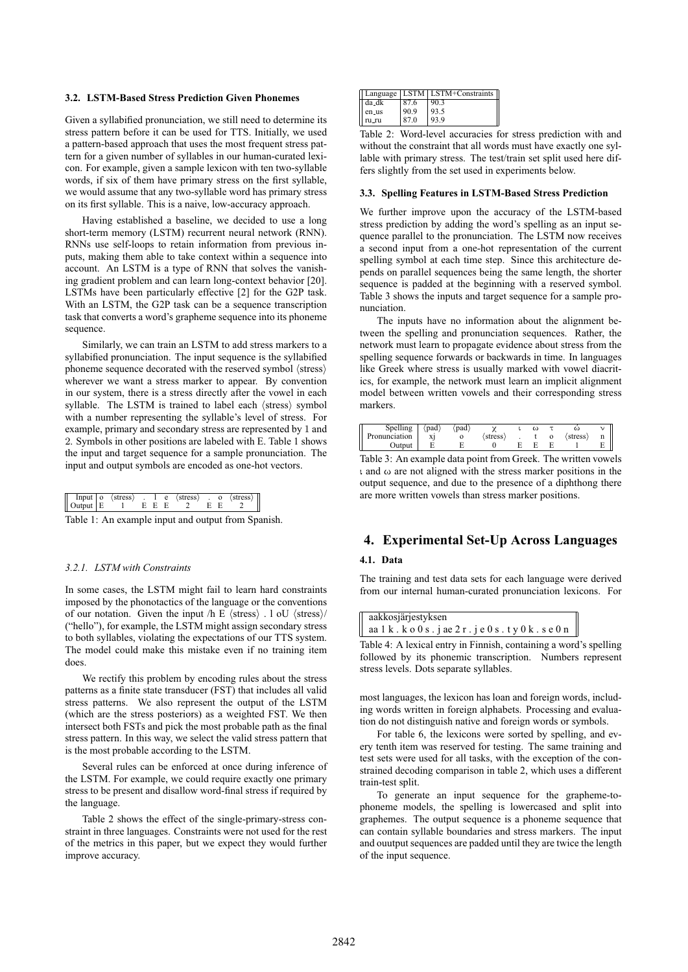#### **3.2. LSTM-Based Stress Prediction Given Phonemes**

Given a syllabified pronunciation, we still need to determine its stress pattern before it can be used for TTS. Initially, we used a pattern-based approach that uses the most frequent stress pattern for a given number of syllables in our human-curated lexicon. For example, given a sample lexicon with ten two-syllable words, if six of them have primary stress on the first syllable, we would assume that any two-syllable word has primary stress on its first syllable. This is a naive, low-accuracy approach.

Having established a baseline, we decided to use a long short-term memory (LSTM) recurrent neural network (RNN). RNNs use self-loops to retain information from previous inputs, making them able to take context within a sequence into account. An LSTM is a type of RNN that solves the vanishing gradient problem and can learn long-context behavior [20]. LSTMs have been particularly effective [2] for the G2P task. With an LSTM, the G2P task can be a sequence transcription task that converts a word's grapheme sequence into its phoneme sequence.

Similarly, we can train an LSTM to add stress markers to a syllabified pronunciation. The input sequence is the syllabified phoneme sequence decorated with the reserved symbol  $\langle$  stress $\rangle$ wherever we want a stress marker to appear. By convention in our system, there is a stress directly after the vowel in each syllable. The LSTM is trained to label each  $\langle$  stress $\rangle$  symbol with a number representing the syllable's level of stress. For example, primary and secondary stress are represented by 1 and 2. Symbols in other positions are labeled with E. Table 1 shows the input and target sequence for a sample pronunciation. The input and output symbols are encoded as one-hot vectors.

| $\begin{array}{ c c c }\n\hline \text{Input} & \text{o} \\ \text{Output} & \text{E}\n\end{array}$<br>$\langle$ stress $\rangle$<br>$\text{Output} \mid E \quad 1 \quad E \quad E$ |  | $\therefore$ 1 e $\therefore$ |  | $\langle \text{stress} \rangle$ . 0<br>$\sim$ 2 $\sim$ |  |  | $\langle$ stress $\rangle$ |  |
|-----------------------------------------------------------------------------------------------------------------------------------------------------------------------------------|--|-------------------------------|--|--------------------------------------------------------|--|--|----------------------------|--|
|-----------------------------------------------------------------------------------------------------------------------------------------------------------------------------------|--|-------------------------------|--|--------------------------------------------------------|--|--|----------------------------|--|

Table 1: An example input and output from Spanish.

### *3.2.1. LSTM with Constraints*

In some cases, the LSTM might fail to learn hard constraints imposed by the phonotactics of the language or the conventions of our notation. Given the input  $\langle h \rangle$  E  $\langle$  stress $\rangle$ . l oU  $\langle$  stress $\rangle$ / ("hello"), for example, the LSTM might assign secondary stress to both syllables, violating the expectations of our TTS system. The model could make this mistake even if no training item does.

We rectify this problem by encoding rules about the stress patterns as a finite state transducer (FST) that includes all valid stress patterns. We also represent the output of the LSTM (which are the stress posteriors) as a weighted FST. We then intersect both FSTs and pick the most probable path as the final stress pattern. In this way, we select the valid stress pattern that is the most probable according to the LSTM.

Several rules can be enforced at once during inference of the LSTM. For example, we could require exactly one primary stress to be present and disallow word-final stress if required by the language.

Table 2 shows the effect of the single-primary-stress constraint in three languages. Constraints were not used for the rest of the metrics in this paper, but we expect they would further improve accuracy.

|         |      | Language   LSTM   LSTM+Constraints |
|---------|------|------------------------------------|
| ∣ da_dk | 87.6 | 90.3                               |
| en_us   | 90.9 | 93.5                               |
| ru ru   | 87.0 | 93.9                               |

Table 2: Word-level accuracies for stress prediction with and without the constraint that all words must have exactly one syllable with primary stress. The test/train set split used here differs slightly from the set used in experiments below.

#### **3.3. Spelling Features in LSTM-Based Stress Prediction**

We further improve upon the accuracy of the LSTM-based stress prediction by adding the word's spelling as an input sequence parallel to the pronunciation. The LSTM now receives a second input from a one-hot representation of the current spelling symbol at each time step. Since this architecture depends on parallel sequences being the same length, the shorter sequence is padded at the beginning with a reserved symbol. Table 3 shows the inputs and target sequence for a sample pronunciation.

The inputs have no information about the alignment between the spelling and pronunciation sequences. Rather, the network must learn to propagate evidence about stress from the spelling sequence forwards or backwards in time. In languages like Greek where stress is usually marked with vowel diacritics, for example, the network must learn an implicit alignment model between written vowels and their corresponding stress markers.

| Spelling      | (pad) | 'pad |        | ω |        |   |
|---------------|-------|------|--------|---|--------|---|
| Pronunciation | хj    |      | stress |   | stress | n |
| Output        |       |      |        |   |        | E |

Table 3: An example data point from Greek. The written vowels ι and ω are not aligned with the stress marker positions in the output sequence, and due to the presence of a diphthong there are more written vowels than stress marker positions.

### **4. Experimental Set-Up Across Languages**

### **4.1. Data**

The training and test data sets for each language were derived from our internal human-curated pronunciation lexicons. For

| aakkosjärjestyksen                                                    |
|-----------------------------------------------------------------------|
| aa 1 k . k o 0 s . j ae 2 r . j e 0 s . t y 0 k . s e 0 n $\parallel$ |
| - - -                                                                 |

Table 4: A lexical entry in Finnish, containing a word's spelling followed by its phonemic transcription. Numbers represent stress levels. Dots separate syllables.

most languages, the lexicon has loan and foreign words, including words written in foreign alphabets. Processing and evaluation do not distinguish native and foreign words or symbols.

For table 6, the lexicons were sorted by spelling, and every tenth item was reserved for testing. The same training and test sets were used for all tasks, with the exception of the constrained decoding comparison in table 2, which uses a different train-test split.

To generate an input sequence for the grapheme-tophoneme models, the spelling is lowercased and split into graphemes. The output sequence is a phoneme sequence that can contain syllable boundaries and stress markers. The input and ouutput sequences are padded until they are twice the length of the input sequence.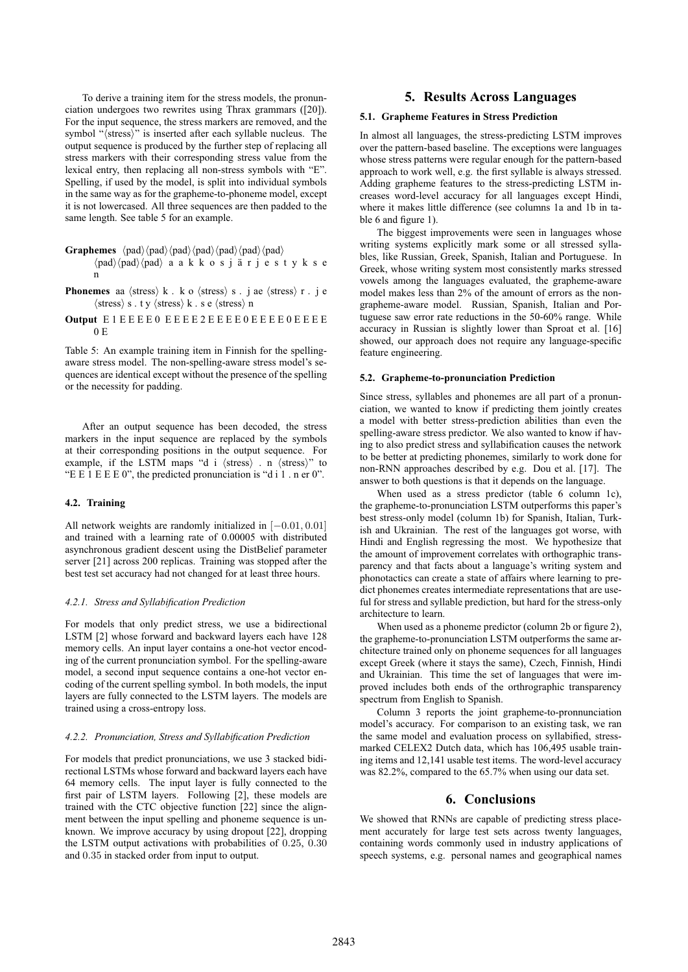To derive a training item for the stress models, the pronunciation undergoes two rewrites using Thrax grammars ([20]). For the input sequence, the stress markers are removed, and the symbol "(stress)" is inserted after each syllable nucleus. The output sequence is produced by the further step of replacing all stress markers with their corresponding stress value from the lexical entry, then replacing all non-stress symbols with "E". Spelling, if used by the model, is split into individual symbols in the same way as for the grapheme-to-phoneme model, except it is not lowercased. All three sequences are then padded to the same length. See table 5 for an example.

- **Graphemes**  $\langle pad \rangle \langle pad \rangle \langle pad \rangle \langle pad \rangle \langle pad \rangle \langle pad \rangle$ 
	- $\langle pad \rangle$   $\langle pad \rangle$   $\langle pad \rangle$  a akkosjärjestykse n
- **Phonemes** aa  $\langle$ stress $\rangle$  k. ko  $\langle$ stress $\rangle$  s. j ae  $\langle$ stress $\rangle$  r. j e  $\langle \text{stress} \rangle$  s.ty  $\langle \text{stress} \rangle$  k.se  $\langle \text{stress} \rangle$  n
- **Output** E1EEEE0 EEEE2EEEE0EEEE0EEEE  $0 F$

Table 5: An example training item in Finnish for the spellingaware stress model. The non-spelling-aware stress model's sequences are identical except without the presence of the spelling or the necessity for padding.

After an output sequence has been decoded, the stress markers in the input sequence are replaced by the symbols at their corresponding positions in the output sequence. For example, if the LSTM maps "d i  $\langle$ stress $\rangle$ ". n  $\langle$ stress $\rangle$ " to "E E 1 E E E 0", the predicted pronunciation is "d i 1 . n er 0".

### **4.2. Training**

All network weights are randomly initialized in [−0.01, 0.01] and trained with a learning rate of 0.00005 with distributed asynchronous gradient descent using the DistBelief parameter server [21] across 200 replicas. Training was stopped after the best test set accuracy had not changed for at least three hours.

#### *4.2.1. Stress and Syllabification Prediction*

For models that only predict stress, we use a bidirectional LSTM [2] whose forward and backward layers each have 128 memory cells. An input layer contains a one-hot vector encoding of the current pronunciation symbol. For the spelling-aware model, a second input sequence contains a one-hot vector encoding of the current spelling symbol. In both models, the input layers are fully connected to the LSTM layers. The models are trained using a cross-entropy loss.

#### *4.2.2. Pronunciation, Stress and Syllabification Prediction*

For models that predict pronunciations, we use 3 stacked bidirectional LSTMs whose forward and backward layers each have 64 memory cells. The input layer is fully connected to the first pair of LSTM layers. Following [2], these models are trained with the CTC objective function [22] since the alignment between the input spelling and phoneme sequence is unknown. We improve accuracy by using dropout [22], dropping the LSTM output activations with probabilities of 0.25, 0.30 and 0.35 in stacked order from input to output.

# **5. Results Across Languages**

#### **5.1. Grapheme Features in Stress Prediction**

In almost all languages, the stress-predicting LSTM improves over the pattern-based baseline. The exceptions were languages whose stress patterns were regular enough for the pattern-based approach to work well, e.g. the first syllable is always stressed. Adding grapheme features to the stress-predicting LSTM increases word-level accuracy for all languages except Hindi, where it makes little difference (see columns 1a and 1b in table 6 and figure 1).

The biggest improvements were seen in languages whose writing systems explicitly mark some or all stressed syllables, like Russian, Greek, Spanish, Italian and Portuguese. In Greek, whose writing system most consistently marks stressed vowels among the languages evaluated, the grapheme-aware model makes less than 2% of the amount of errors as the nongrapheme-aware model. Russian, Spanish, Italian and Portuguese saw error rate reductions in the 50-60% range. While accuracy in Russian is slightly lower than Sproat et al. [16] showed, our approach does not require any language-specific feature engineering.

#### **5.2. Grapheme-to-pronunciation Prediction**

Since stress, syllables and phonemes are all part of a pronunciation, we wanted to know if predicting them jointly creates a model with better stress-prediction abilities than even the spelling-aware stress predictor. We also wanted to know if having to also predict stress and syllabification causes the network to be better at predicting phonemes, similarly to work done for non-RNN approaches described by e.g. Dou et al. [17]. The answer to both questions is that it depends on the language.

When used as a stress predictor (table 6 column 1c), the grapheme-to-pronunciation LSTM outperforms this paper's best stress-only model (column 1b) for Spanish, Italian, Turkish and Ukrainian. The rest of the languages got worse, with Hindi and English regressing the most. We hypothesize that the amount of improvement correlates with orthographic transparency and that facts about a language's writing system and phonotactics can create a state of affairs where learning to predict phonemes creates intermediate representations that are useful for stress and syllable prediction, but hard for the stress-only architecture to learn.

When used as a phoneme predictor (column 2b or figure 2), the grapheme-to-pronunciation LSTM outperforms the same architecture trained only on phoneme sequences for all languages except Greek (where it stays the same), Czech, Finnish, Hindi and Ukrainian. This time the set of languages that were improved includes both ends of the orthrographic transparency spectrum from English to Spanish.

Column 3 reports the joint grapheme-to-pronnunciation model's accuracy. For comparison to an existing task, we ran the same model and evaluation process on syllabified, stressmarked CELEX2 Dutch data, which has 106,495 usable training items and 12,141 usable test items. The word-level accuracy was 82.2%, compared to the 65.7% when using our data set.

### **6. Conclusions**

We showed that RNNs are capable of predicting stress placement accurately for large test sets across twenty languages, containing words commonly used in industry applications of speech systems, e.g. personal names and geographical names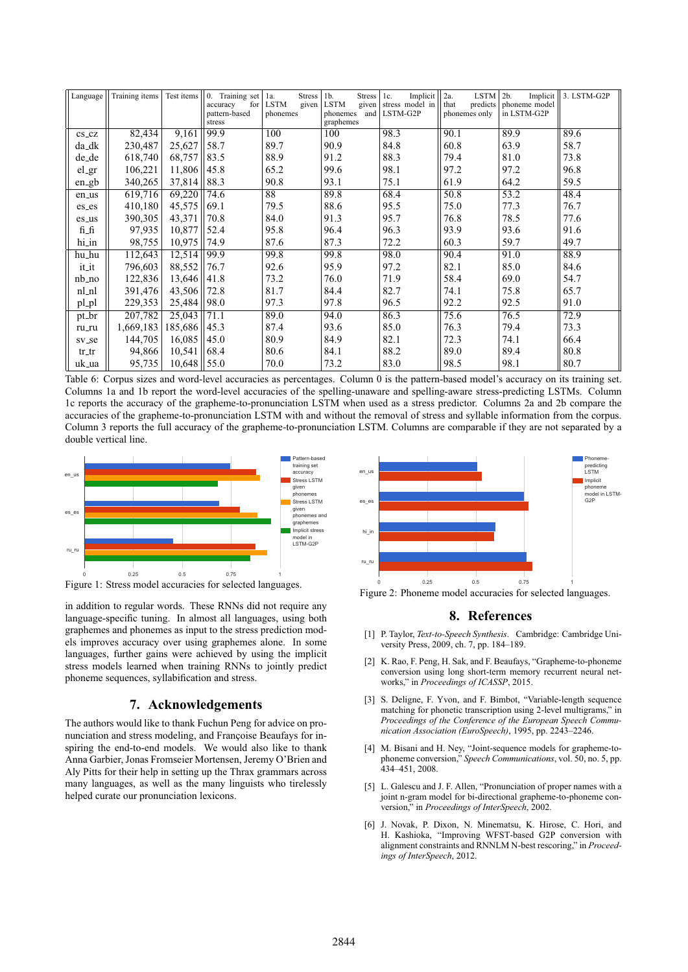| Language            | Training items | Test items | Training set<br>$\mathbf{0}$ .<br>for<br>accuracy<br>pattern-based<br>stress | Stress<br>la.<br><b>LSTM</b><br>given<br>phonemes | 1 <sub>b</sub><br><b>Stress</b><br><b>LSTM</b><br>given<br>and<br>phonemes<br>graphemes | Implicit<br>1c.<br>stress model in<br>LSTM-G2P | <b>LSTM</b><br>2a.<br>that<br>predicts<br>phonemes only | 2 <sub>b</sub><br>Implicit<br>phoneme model<br>in LSTM-G2P | 3. LSTM-G2P |
|---------------------|----------------|------------|------------------------------------------------------------------------------|---------------------------------------------------|-----------------------------------------------------------------------------------------|------------------------------------------------|---------------------------------------------------------|------------------------------------------------------------|-------------|
| $cs$ <sub>-CZ</sub> | 82,434         | 9,161      | 99.9                                                                         | 100                                               | 100                                                                                     | 98.3                                           | 90.1                                                    | 89.9                                                       | 89.6        |
| da_dk               | 230,487        | 25,627     | 58.7                                                                         | 89.7                                              | 90.9                                                                                    | 84.8                                           | 60.8                                                    | 63.9                                                       | 58.7        |
| de_de               | 618,740        | 68,757     | 83.5                                                                         | 88.9                                              | 91.2                                                                                    | 88.3                                           | 79.4                                                    | 81.0                                                       | 73.8        |
| el_gr               | 106,221        | 11,806     | 45.8                                                                         | 65.2                                              | 99.6                                                                                    | 98.1                                           | 97.2                                                    | 97.2                                                       | 96.8        |
| en_gb               | 340,265        | 37,814     | 88.3                                                                         | 90.8                                              | 93.1                                                                                    | 75.1                                           | 61.9                                                    | 64.2                                                       | 59.5        |
| en_us               | 619,716        | 69,220     | 74.6                                                                         | $\overline{88}$                                   | 89.8                                                                                    | 68.4                                           | 50.8                                                    | 53.2                                                       | 48.4        |
| es_es               | 410,180        | 45,575     | 69.1                                                                         | 79.5                                              | 88.6                                                                                    | 95.5                                           | 75.0                                                    | 77.3                                                       | 76.7        |
| es_us               | 390,305        | 43,371     | 70.8                                                                         | 84.0                                              | 91.3                                                                                    | 95.7                                           | 76.8                                                    | 78.5                                                       | 77.6        |
| fi_fi               | 97,935         | 10,877     | 52.4                                                                         | 95.8                                              | 96.4                                                                                    | 96.3                                           | 93.9                                                    | 93.6                                                       | 91.6        |
| hi_in               | 98,755         | 10,975     | 74.9                                                                         | 87.6                                              | 87.3                                                                                    | 72.2                                           | 60.3                                                    | 59.7                                                       | 49.7        |
| hu_hu               | 112,643        | 12,514     | 99.9                                                                         | 99.8                                              | 99.8                                                                                    | 98.0                                           | 90.4                                                    | 91.0                                                       | 88.9        |
| it_it               | 796,603        | 88,552     | 76.7                                                                         | 92.6                                              | 95.9                                                                                    | 97.2                                           | 82.1                                                    | 85.0                                                       | 84.6        |
| $nb_{10}$           | 122,836        | 13,646     | 41.8                                                                         | 73.2                                              | 76.0                                                                                    | 71.9                                           | 58.4                                                    | 69.0                                                       | 54.7        |
| nl_nl               | 391,476        | 43,506     | 72.8                                                                         | 81.7                                              | 84.4                                                                                    | 82.7                                           | 74.1                                                    | 75.8                                                       | 65.7        |
| pl_pl               | 229,353        | 25,484     | 98.0                                                                         | 97.3                                              | 97.8                                                                                    | 96.5                                           | 92.2                                                    | 92.5                                                       | 91.0        |
| pt_br               | 207,782        | 25,043     | 71.1                                                                         | 89.0                                              | 94.0                                                                                    | 86.3                                           | 75.6                                                    | 76.5                                                       | 72.9        |
| ru_ru               | 1,669,183      | 185,686    | 45.3                                                                         | 87.4                                              | 93.6                                                                                    | 85.0                                           | 76.3                                                    | 79.4                                                       | 73.3        |
| sv_se               | 144,705        | 16,085     | 45.0                                                                         | 80.9                                              | 84.9                                                                                    | 82.1                                           | 72.3                                                    | 74.1                                                       | 66.4        |
| $tr_$               | 94,866         | 10,541     | 68.4                                                                         | 80.6                                              | 84.1                                                                                    | 88.2                                           | 89.0                                                    | 89.4                                                       | 80.8        |
| uk_ua               | 95,735         | 10,648     | 55.0                                                                         | 70.0                                              | 73.2                                                                                    | 83.0                                           | 98.5                                                    | 98.1                                                       | 80.7        |

Table 6: Corpus sizes and word-level accuracies as percentages. Column 0 is the pattern-based model's accuracy on its training set. Columns 1a and 1b report the word-level accuracies of the spelling-unaware and spelling-aware stress-predicting LSTMs. Column 1c reports the accuracy of the grapheme-to-pronunciation LSTM when used as a stress predictor. Columns 2a and 2b compare the accuracies of the grapheme-to-pronunciation LSTM with and without the removal of stress and syllable information from the corpus. Column 3 reports the full accuracy of the grapheme-to-pronunciation LSTM. Columns are comparable if they are not separated by a double vertical line.



Figure 1: Stress model accuracies for selected languages.

in addition to regular words. These RNNs did not require any language-specific tuning. In almost all languages, using both graphemes and phonemes as input to the stress prediction models improves accuracy over using graphemes alone. In some languages, further gains were achieved by using the implicit stress models learned when training RNNs to jointly predict phoneme sequences, syllabification and stress.

### 7. Acknowledgements

The authors would like to thank Fuchun Peng for advice on pronunciation and stress modeling, and Françoise Beaufays for inspiring the end-to-end models. We would also like to thank Anna Garbier, Jonas Fromseier Mortensen, Jeremy O'Brien and Aly Pitts for their help in setting up the Thrax grammars across many languages, as well as the many linguists who tirelessly helped curate our pronunciation lexicons.



Figure 2: Phoneme model accuracies for selected languages.

#### 8. References

- [1] P. Taylor, Text-to-Speech Synthesis. Cambridge: Cambridge University Press, 2009, ch. 7, pp. 184-189.
- [2] K. Rao, F. Peng, H. Sak, and F. Beaufays, "Grapheme-to-phoneme conversion using long short-term memory recurrent neural networks," in Proceedings of ICASSP, 2015.
- [3] S. Deligne, F. Yvon, and F. Bimbot, "Variable-length sequence matching for phonetic transcription using 2-level multigrams," in Proceedings of the Conference of the European Speech Communication Association (EuroSpeech), 1995, pp. 2243-2246.
- [4] M. Bisani and H. Ney, "Joint-sequence models for grapheme-tophoneme conversion," Speech Communications, vol. 50, no. 5, pp.<br>434–451, 2008.
- [5] L. Galescu and J. F. Allen, "Pronunciation of proper names with a joint n-gram model for bi-directional grapheme-to-phoneme conversion," in Proceedings of InterSpeech, 2002.
- [6] J. Novak, P. Dixon, N. Minematsu, K. Hirose, C. Hori, and H. Kashioka, "Improving WFST-based G2P conversion with alignment constraints and RNNLM N-best rescoring," in Proceedings of InterSpeech, 2012.